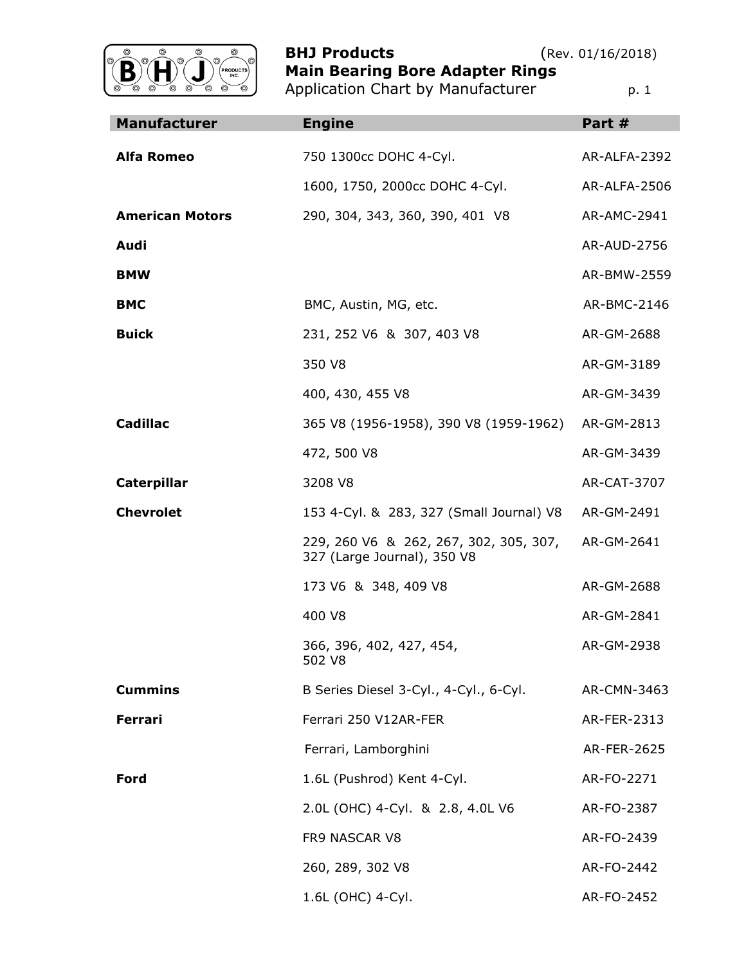

**BHJ Products** (Rev. 01/16/2018) **Main Bearing Bore Adapter Rings** Application Chart by Manufacturer **p. 1** 

| <b>Manufacturer</b>    | <b>Engine</b>                                                         | Part #              |
|------------------------|-----------------------------------------------------------------------|---------------------|
| <b>Alfa Romeo</b>      | 750 1300cc DOHC 4-Cyl.                                                | AR-ALFA-2392        |
|                        | 1600, 1750, 2000cc DOHC 4-Cyl.                                        | <b>AR-ALFA-2506</b> |
| <b>American Motors</b> | 290, 304, 343, 360, 390, 401 V8                                       | AR-AMC-2941         |
| Audi                   |                                                                       | AR-AUD-2756         |
| <b>BMW</b>             |                                                                       | AR-BMW-2559         |
| <b>BMC</b>             | BMC, Austin, MG, etc.                                                 | AR-BMC-2146         |
| <b>Buick</b>           | 231, 252 V6 & 307, 403 V8                                             | AR-GM-2688          |
|                        | 350 V8                                                                | AR-GM-3189          |
|                        | 400, 430, 455 V8                                                      | AR-GM-3439          |
| <b>Cadillac</b>        | 365 V8 (1956-1958), 390 V8 (1959-1962)                                | AR-GM-2813          |
|                        | 472, 500 V8                                                           | AR-GM-3439          |
| <b>Caterpillar</b>     | 3208 V8                                                               | AR-CAT-3707         |
| <b>Chevrolet</b>       | 153 4-Cyl. & 283, 327 (Small Journal) V8                              | AR-GM-2491          |
|                        | 229, 260 V6 & 262, 267, 302, 305, 307,<br>327 (Large Journal), 350 V8 | AR-GM-2641          |
|                        | 173 V6 & 348, 409 V8                                                  | AR-GM-2688          |
|                        | 400 V8                                                                | AR-GM-2841          |
|                        | 366, 396, 402, 427, 454,<br>502 V8                                    | AR-GM-2938          |
| <b>Cummins</b>         | B Series Diesel 3-Cyl., 4-Cyl., 6-Cyl.                                | AR-CMN-3463         |
| <b>Ferrari</b>         | Ferrari 250 V12AR-FER                                                 | AR-FER-2313         |
|                        | Ferrari, Lamborghini                                                  | AR-FER-2625         |
| Ford                   | 1.6L (Pushrod) Kent 4-Cyl.                                            | AR-FO-2271          |
|                        | 2.0L (OHC) 4-Cyl. & 2.8, 4.0L V6                                      | AR-FO-2387          |
|                        | FR9 NASCAR V8                                                         | AR-FO-2439          |
|                        | 260, 289, 302 V8                                                      | AR-FO-2442          |
|                        | 1.6L (OHC) 4-Cyl.                                                     | AR-FO-2452          |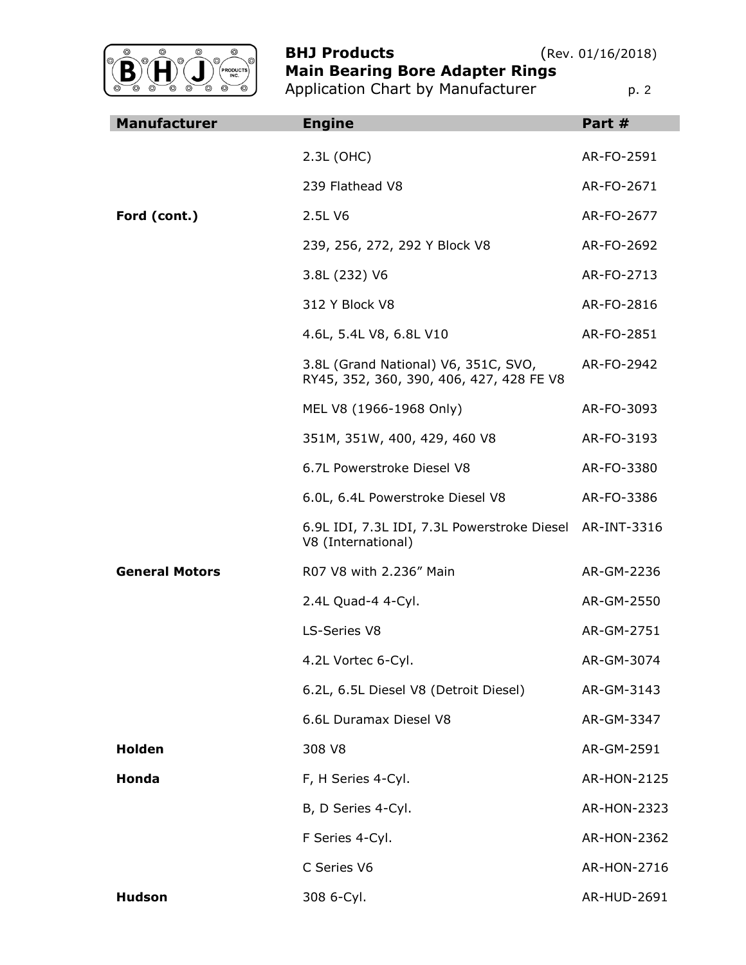

**BHJ Products** (Rev. 01/16/2018) **Main Bearing Bore Adapter Rings**

Application Chart by Manufacturer **p. 2** p. 2

| <b>Manufacturer</b>   | <b>Engine</b>                                                                    | Part #             |
|-----------------------|----------------------------------------------------------------------------------|--------------------|
|                       | 2.3L (OHC)                                                                       | AR-FO-2591         |
|                       | 239 Flathead V8                                                                  | AR-FO-2671         |
| Ford (cont.)          | 2.5L V6                                                                          | AR-FO-2677         |
|                       | 239, 256, 272, 292 Y Block V8                                                    | AR-FO-2692         |
|                       | 3.8L (232) V6                                                                    | AR-FO-2713         |
|                       | 312 Y Block V8                                                                   | AR-FO-2816         |
|                       | 4.6L, 5.4L V8, 6.8L V10                                                          | AR-FO-2851         |
|                       | 3.8L (Grand National) V6, 351C, SVO,<br>RY45, 352, 360, 390, 406, 427, 428 FE V8 | AR-FO-2942         |
|                       | MEL V8 (1966-1968 Only)                                                          | AR-FO-3093         |
|                       | 351M, 351W, 400, 429, 460 V8                                                     | AR-FO-3193         |
|                       | 6.7L Powerstroke Diesel V8                                                       | AR-FO-3380         |
|                       | 6.0L, 6.4L Powerstroke Diesel V8                                                 | AR-FO-3386         |
|                       | 6.9L IDI, 7.3L IDI, 7.3L Powerstroke Diesel AR-INT-3316<br>V8 (International)    |                    |
| <b>General Motors</b> | R07 V8 with 2.236" Main                                                          | AR-GM-2236         |
|                       | 2.4L Quad-4 4-Cyl.                                                               | AR-GM-2550         |
|                       | LS-Series V8                                                                     | AR-GM-2751         |
|                       | 4.2L Vortec 6-Cyl.                                                               | AR-GM-3074         |
|                       | 6.2L, 6.5L Diesel V8 (Detroit Diesel)                                            | AR-GM-3143         |
|                       | 6.6L Duramax Diesel V8                                                           | AR-GM-3347         |
| <b>Holden</b>         | 308 V8                                                                           | AR-GM-2591         |
| Honda                 | F, H Series 4-Cyl.                                                               | <b>AR-HON-2125</b> |
|                       | B, D Series 4-Cyl.                                                               | AR-HON-2323        |
|                       | F Series 4-Cyl.                                                                  | AR-HON-2362        |
|                       | C Series V6                                                                      | AR-HON-2716        |
| <b>Hudson</b>         | 308 6-Cyl.                                                                       | AR-HUD-2691        |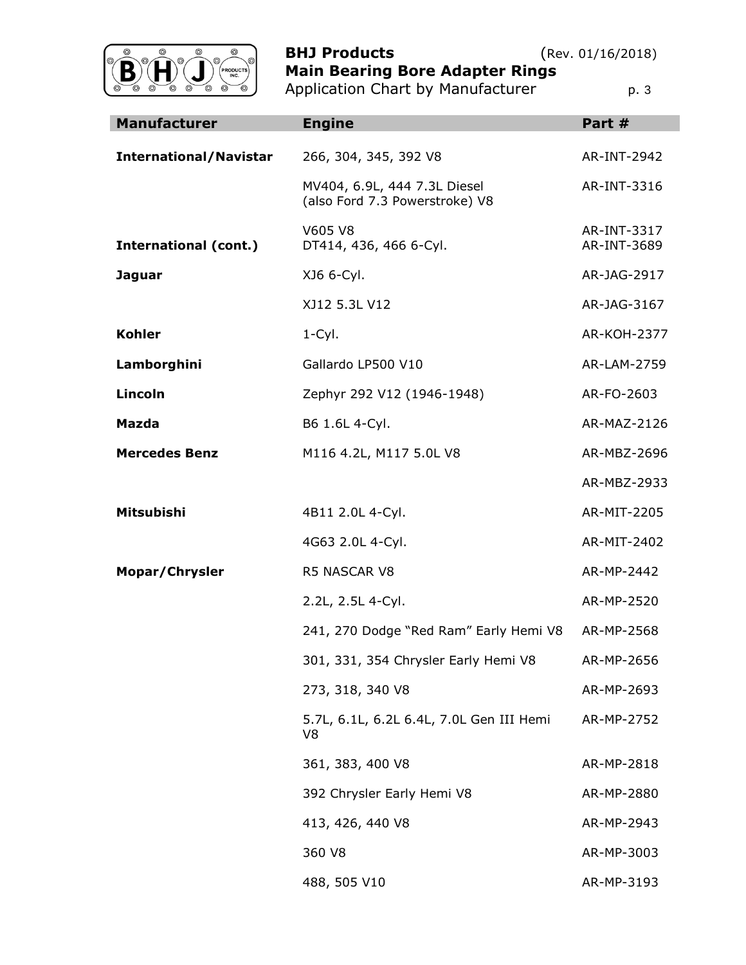

**BHJ Products** (Rev. 01/16/2018) **Main Bearing Bore Adapter Rings**

|  | Application Chart by Manufacturer | p. 3 |
|--|-----------------------------------|------|

| <b>Manufacturer</b>           | <b>Engine</b>                                                  | Part #                     |
|-------------------------------|----------------------------------------------------------------|----------------------------|
| <b>International/Navistar</b> | 266, 304, 345, 392 V8                                          | AR-INT-2942                |
|                               | MV404, 6.9L, 444 7.3L Diesel<br>(also Ford 7.3 Powerstroke) V8 | AR-INT-3316                |
| <b>International (cont.)</b>  | V605 V8<br>DT414, 436, 466 6-Cyl.                              | AR-INT-3317<br>AR-INT-3689 |
| <b>Jaguar</b>                 | XJ6 6-Cyl.                                                     | AR-JAG-2917                |
|                               | XJ12 5.3L V12                                                  | AR-JAG-3167                |
| <b>Kohler</b>                 | $1 - Cyl$ .                                                    | <b>AR-KOH-2377</b>         |
| Lamborghini                   | Gallardo LP500 V10                                             | AR-LAM-2759                |
| <b>Lincoln</b>                | Zephyr 292 V12 (1946-1948)                                     | AR-FO-2603                 |
| Mazda                         | B6 1.6L 4-Cyl.                                                 | AR-MAZ-2126                |
| <b>Mercedes Benz</b>          | M116 4.2L, M117 5.0L V8                                        | AR-MBZ-2696                |
|                               |                                                                | AR-MBZ-2933                |
| Mitsubishi                    | 4B11 2.0L 4-Cyl.                                               | AR-MIT-2205                |
|                               | 4G63 2.0L 4-Cyl.                                               | AR-MIT-2402                |
| Mopar/Chrysler                | <b>R5 NASCAR V8</b>                                            | AR-MP-2442                 |
|                               | 2.2L, 2.5L 4-Cyl.                                              | AR-MP-2520                 |
|                               | 241, 270 Dodge "Red Ram" Early Hemi V8                         | AR-MP-2568                 |
|                               | 301, 331, 354 Chrysler Early Hemi V8                           | AR-MP-2656                 |
|                               | 273, 318, 340 V8                                               | AR-MP-2693                 |
|                               | 5.7L, 6.1L, 6.2L 6.4L, 7.0L Gen III Hemi<br>V8                 | AR-MP-2752                 |
|                               | 361, 383, 400 V8                                               | AR-MP-2818                 |
|                               | 392 Chrysler Early Hemi V8                                     | AR-MP-2880                 |
|                               | 413, 426, 440 V8                                               | AR-MP-2943                 |
|                               | 360 V8                                                         | AR-MP-3003                 |
|                               | 488, 505 V10                                                   | AR-MP-3193                 |